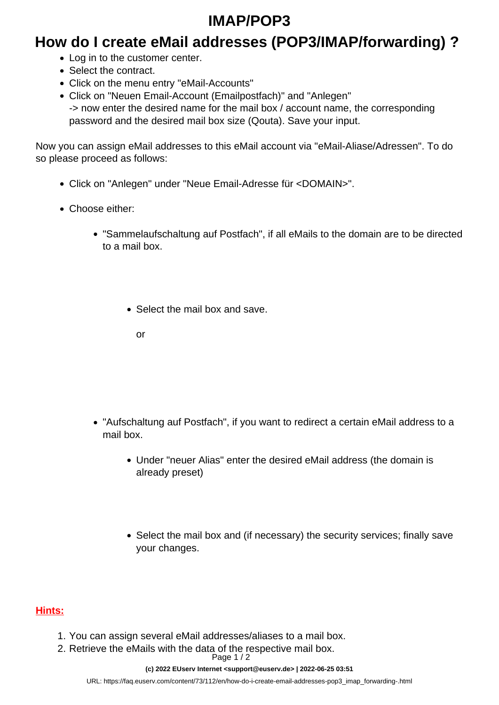## **IMAP/POP3**

### **How do I create eMail addresses (POP3/IMAP/forwarding) ?**

- Log in to the customer center.
- Select the contract.
- Click on the menu entry "eMail-Accounts"
- Click on "Neuen Email-Account (Emailpostfach)" and "Anlegen" -> now enter the desired name for the mail box / account name, the corresponding password and the desired mail box size (Qouta). Save your input.

Now you can assign eMail addresses to this eMail account via "eMail-Aliase/Adressen". To do so please proceed as follows:

- Click on "Anlegen" under "Neue Email-Adresse für <DOMAIN>".
- Choose either:
	- "Sammelaufschaltung auf Postfach", if all eMails to the domain are to be directed to a mail box.
		- Select the mail box and save.

or

- "Aufschaltung auf Postfach", if you want to redirect a certain eMail address to a mail box.
	- Under "neuer Alias" enter the desired eMail address (the domain is already preset)
	- Select the mail box and (if necessary) the security services; finally save your changes.

### **Hints:**

- 1. You can assign several eMail addresses/aliases to a mail box.
- 2. Retrieve the eMails with the data of the respective mail box.

Page 1 / 2